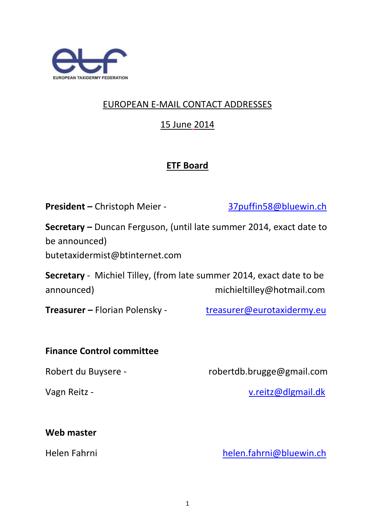

## EUROPEAN E-MAIL CONTACT ADDRESSES

15 June 2014

## **ETF Board**

**President –** Christoph Meier - [37puffin58@bluewin.ch](mailto:37puffin58@bluewin.ch)

**Secretary –** Duncan Ferguson, (until late summer 2014, exact date to be announced)

butetaxidermist@btinternet.com

**Secretary** - Michiel Tilley, (from late summer 2014, exact date to be announced) michieltilley@hotmail.com

**Treasurer –** Florian Polensky - [treasurer@eurotaxidermy.eu](mailto:treasurer@eurotaxidermy.eu)

#### **Finance Control committee**

Robert du Buysere - robertdb.brugge@gmail.com

Vagn Reitz - [v.reitz@dlgmail.dk](mailto:v.reitz@dlgmail.dk)

#### **Web master**

Helen Fahrni [helen.fahrni@bluewin.ch](mailto:helen.fahrni@bluewin.ch)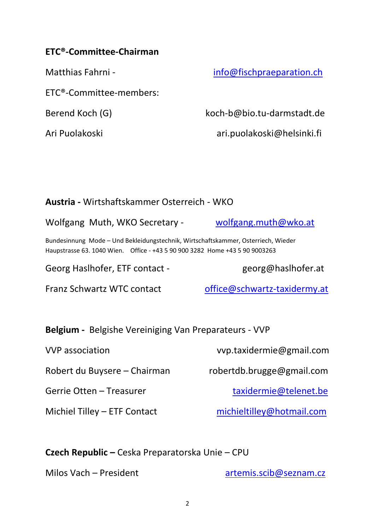#### **ETC®-Committee-Chairman**

ETC®-Committee-members:

Matthias Fahrni - [info@fischpraeparation.ch](mailto:info@fischpraeparation.ch)

Berend Koch (G) koch-b@bio.tu-darmstadt.de

Ari Puolakoski ari.puolakoski@helsinki.fi

### **Austria -** Wirtshaftskammer Osterreich - WKO

Wolfgang Muth, WKO Secretary - [wolfgang.muth@wko.at](mailto:wolfgang.muth@wko.at)

Bundesinnung Mode – Und Bekleidungstechnik, Wirtschaftskammer, Osterriech, Wieder Haupstrasse 63. 1040 Wien. Office - +43 5 90 900 3282 Home +43 5 90 9003263

Georg Haslhofer, ETF contact - The georg@haslhofer.at

Franz Schwartz WTC contact [office@schwartz-taxidermy.at](mailto:office@schwartz-taxidermy.at)

**Belgium -** Belgishe Vereiniging Van Preparateurs - VVP

| <b>VVP</b> association       | vvp.taxidermie@gmail.com  |
|------------------------------|---------------------------|
| Robert du Buysere – Chairman | robertdb.brugge@gmail.com |
| Gerrie Otten – Treasurer     | taxidermie@telenet.be     |
| Michiel Tilley - ETF Contact | michieltilley@hotmail.com |

**Czech Republic –** Ceska Preparatorska Unie – CPU

Milos Vach – President [artemis.scib@seznam.cz](mailto:artemis.scib@seznam.cz)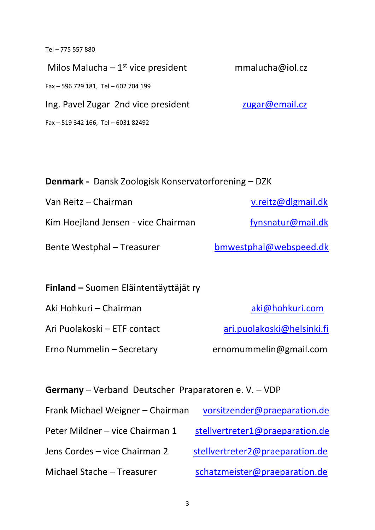Tel – 775 557 880

Milos Malucha –  $1^{st}$  vice president mmalucha@iol.cz Fax – 596 729 181, Tel – 602 704 199 Ing. Pavel Zugar 2nd vice president [zugar@email.cz](mailto:zugar@email.cz) Fax – 519 342 166, Tel – 6031 82492

| <b>Denmark</b> - Dansk Zoologisk Konservatorforening – DZK |                        |  |
|------------------------------------------------------------|------------------------|--|
| Van Reitz - Chairman                                       | v.reitz@dlgmail.dk     |  |
| Kim Hoejland Jensen - vice Chairman                        | fynsnatur@mail.dk      |  |
| <b>Bente Westphal - Treasurer</b>                          | bmwestphal@webspeed.dk |  |
| <b>Finland</b> – Suomen Eläintentäyttäjät ry               |                        |  |

Erno Nummelin – Secretary ernomummelin@gmail.com

Aki Hohkuri – Chairman aki Massachusetts aki aki mahaluri.com Ari Puolakoski – ETF contact [ari.puolakoski@helsinki.fi](mailto:aripuolakoski@helsinki.fi)

**Germany** – Verband Deutscher Praparatoren e. V. – VDP

| Frank Michael Weigner - Chairman | vorsitzender@praeparation.de    |
|----------------------------------|---------------------------------|
| Peter Mildner - vice Chairman 1  | stellvertreter1@praeparation.de |
| Jens Cordes - vice Chairman 2    | stellvertreter2@praeparation.de |
| Michael Stache - Treasurer       | schatzmeister@praeparation.de   |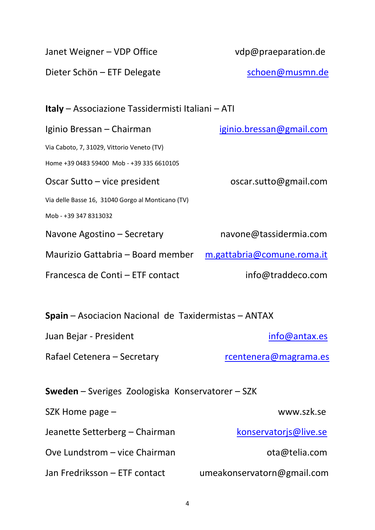| Janet Weigner - VDP Office                                  | vdp@praeparation.de                                      |  |  |
|-------------------------------------------------------------|----------------------------------------------------------|--|--|
| Dieter Schön - ETF Delegate                                 | schoen@musmn.de                                          |  |  |
|                                                             |                                                          |  |  |
|                                                             | <b>Italy</b> – Associazione Tassidermisti Italiani – ATI |  |  |
| Iginio Bressan – Chairman                                   | <u>iginio.bressan@gmail.com</u>                          |  |  |
| Via Caboto, 7, 31029, Vittorio Veneto (TV)                  |                                                          |  |  |
| Home +39 0483 59400 Mob - +39 335 6610105                   |                                                          |  |  |
| Oscar Sutto – vice president                                | oscar.sutto@gmail.com                                    |  |  |
| Via delle Basse 16, 31040 Gorgo al Monticano (TV)           |                                                          |  |  |
| Mob - +39 347 8313032                                       |                                                          |  |  |
| Navone Agostino – Secretary                                 | navone@tassidermia.com                                   |  |  |
| Maurizio Gattabria - Board member                           | m.gattabria@comune.roma.it                               |  |  |
| Francesca de Conti - ETF contact                            | info@traddeco.com                                        |  |  |
|                                                             |                                                          |  |  |
| <b>Spain</b> – Asociacion Nacional de Taxidermistas – ANTAX |                                                          |  |  |
| Juan Bejar - President                                      | info@antax.es                                            |  |  |
| Rafael Cetenera - Secretary                                 | rcentenera@magrama.es                                    |  |  |
| <b>Sweden</b> – Sveriges Zoologiska Konservatorer – SZK     |                                                          |  |  |
| SZK Home page -                                             | www.szk.se                                               |  |  |
| Jeanette Setterberg – Chairman                              | konservatorjs@live.se                                    |  |  |
| Ove Lundstrom - vice Chairman                               | ota@telia.com                                            |  |  |
| Jan Fredriksson - ETF contact                               | umeakonservatorn@gmail.com                               |  |  |
|                                                             |                                                          |  |  |

4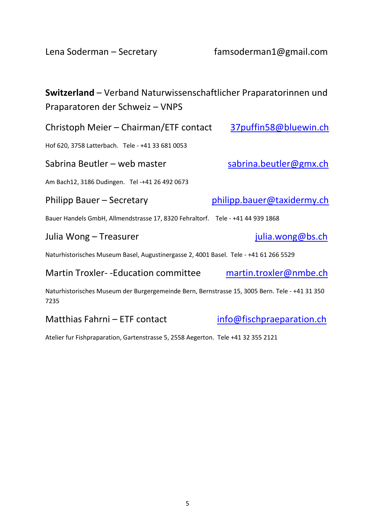Lena Soderman – Secretary famsoderman1@gmail.com

| <b>Switzerland</b> – Verband Naturwissenschaftlicher Praparatorinnen und<br>Praparatoren der Schweiz - VNPS |                            |  |
|-------------------------------------------------------------------------------------------------------------|----------------------------|--|
| Christoph Meier - Chairman/ETF contact                                                                      | 37puffin58@bluewin.ch      |  |
| Hof 620, 3758 Latterbach. Tele - +41 33 681 0053                                                            |                            |  |
| Sabrina Beutler - web master                                                                                | sabrina.beutler@gmx.ch     |  |
| Am Bach12, 3186 Dudingen. Tel -+41 26 492 0673                                                              |                            |  |
| Philipp Bauer – Secretary                                                                                   | philipp.bauer@taxidermy.ch |  |
| Bauer Handels GmbH, Allmendstrasse 17, 8320 Fehraltorf. Tele - +41 44 939 1868                              |                            |  |
| Julia Wong – Treasurer                                                                                      | julia.wong@bs.ch           |  |
| Naturhistorisches Museum Basel, Augustinergasse 2, 4001 Basel. Tele - +41 61 266 5529                       |                            |  |
| <b>Martin Troxler--Education committee</b>                                                                  | martin.troxler@nmbe.ch     |  |
| Naturhistorisches Museum der Burgergemeinde Bern, Bernstrasse 15, 3005 Bern. Tele - +41 31 350<br>7235      |                            |  |

# Matthias Fahrni – ETF contact [info@fischpraeparation.ch](mailto:info@fischpraeparation.ch)

Atelier fur Fishpraparation, Gartenstrasse 5, 2558 Aegerton. Tele +41 32 355 2121